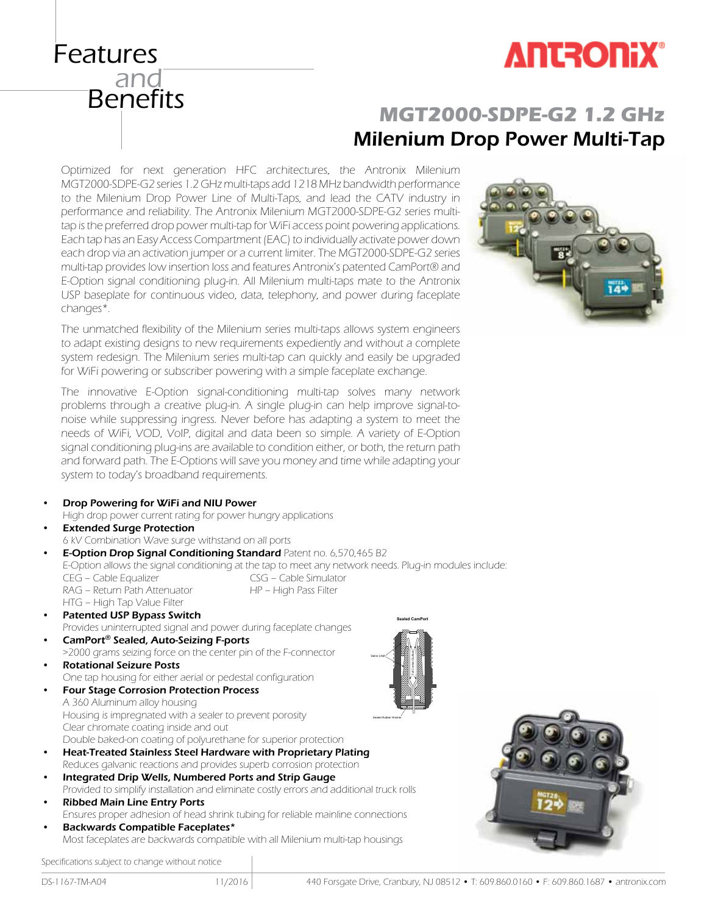

#### Benefits **MGT2000-SDPE-G2 1.2 GHz** Milenium Drop Power Multi-Tap

Optimized for next generation HFC architectures, the Antronix Milenium MGT2000-SDPE-G2 series 1.2 GHz multi-taps add 1218 MHz bandwidth performance to the Milenium Drop Power Line of Multi-Taps, and lead the CATV industry in performance and reliability. The Antronix Milenium MGT2000-SDPE-G2 series multitap is the preferred drop power multi-tap for WiFi access point powering applications. Each tap has an Easy Access Compartment (EAC) to individually activate power down each drop via an activation jumper or a current limiter. The MGT2000-SDPE-G2 series multi-tap provides low insertion loss and features Antronix's patented CamPort® and E-Option signal conditioning plug-in. All Milenium multi-taps mate to the Antronix USP baseplate for continuous video, data, telephony, and power during faceplate changes\*.

The unmatched flexibility of the Milenium series multi-taps allows system engineers to adapt existing designs to new requirements expediently and without a complete system redesign. The Milenium series multi-tap can quickly and easily be upgraded for WiFi powering or subscriber powering with a simple faceplate exchange.

The innovative E-Option signal-conditioning multi-tap solves many network problems through a creative plug-in. A single plug-in can help improve signal-tonoise while suppressing ingress. Never before has adapting a system to meet the needs of WiFi, VOD, VoIP, digital and data been so simple. A variety of E-Option signal conditioning plug-ins are available to condition either, or both, the return path and forward path. The E-Options will save you money and time while adapting your

|           | ought on the supplement in the contract of the contract and service and service of the service of the<br>needs of WiFi, VOD, VoIP, digital and data been so simple. A variety of E-Option |
|-----------|-------------------------------------------------------------------------------------------------------------------------------------------------------------------------------------------|
|           | signal conditioning plug-ins are available to condition either, or both, the return path                                                                                                  |
|           | and forward path. The E-Options will save you money and time while adapting your                                                                                                          |
|           | system to today's broadband requirements.                                                                                                                                                 |
|           |                                                                                                                                                                                           |
| $\bullet$ | Drop Powering for WiFi and NIU Power                                                                                                                                                      |
|           | High drop power current rating for power hungry applications                                                                                                                              |
| $\bullet$ | <b>Extended Surge Protection</b>                                                                                                                                                          |
|           | 6 kV Combination Wave surge withstand on all ports                                                                                                                                        |
| $\bullet$ | E-Option Drop Signal Conditioning Standard Patent no. 6,570,465 B2                                                                                                                        |
|           | E-Option allows the signal conditioning at the tap to meet any network needs. Plug-in modules include:                                                                                    |
|           | CSG - Cable Simulator<br>CEG - Cable Equalizer                                                                                                                                            |
|           | RAG - Return Path Attenuator<br>HP - High Pass Filter                                                                                                                                     |
|           | HTG - High Tap Value Filter                                                                                                                                                               |
| $\bullet$ | <b>Patented USP Bypass Switch</b><br><b>Sealed CamPort</b>                                                                                                                                |
|           | Provides uninterrupted signal and power during faceplate changes                                                                                                                          |
| $\bullet$ | CamPort <sup>®</sup> Sealed, Auto-Seizing F-ports                                                                                                                                         |
|           | >2000 grams seizing force on the center pin of the F-connector                                                                                                                            |
| $\bullet$ | <b>Rotational Seizure Posts</b>                                                                                                                                                           |
|           | One tap housing for either aerial or pedestal configuration                                                                                                                               |
| $\bullet$ | <b>Four Stage Corrosion Protection Process</b>                                                                                                                                            |
|           | A 360 Aluminum alloy housing                                                                                                                                                              |
|           | Housing is impregnated with a sealer to prevent porosity                                                                                                                                  |
|           | Clear chromate coating inside and out                                                                                                                                                     |
| $\bullet$ | Double baked-on coating of polyurethane for superior protection<br>Heat-Treated Stainless Steel Hardware with Proprietary Plating                                                         |
|           | Reduces galvanic reactions and provides superb corrosion protection                                                                                                                       |
| $\bullet$ | Integrated Drip Wells, Numbered Ports and Strip Gauge                                                                                                                                     |
|           | Provided to simplify installation and eliminate costly errors and additional truck rolls                                                                                                  |
| $\bullet$ | <b>Ribbed Main Line Entry Ports</b>                                                                                                                                                       |
|           | Ensures proper adhesion of head shrink tubing for reliable mainline connections                                                                                                           |
|           |                                                                                                                                                                                           |

Backwards Compatible Faceplates\* Most faceplates are backwards compatible with all Milenium multi-tap housings

Specifications subject to change without notice

Features

and<br>Benefits

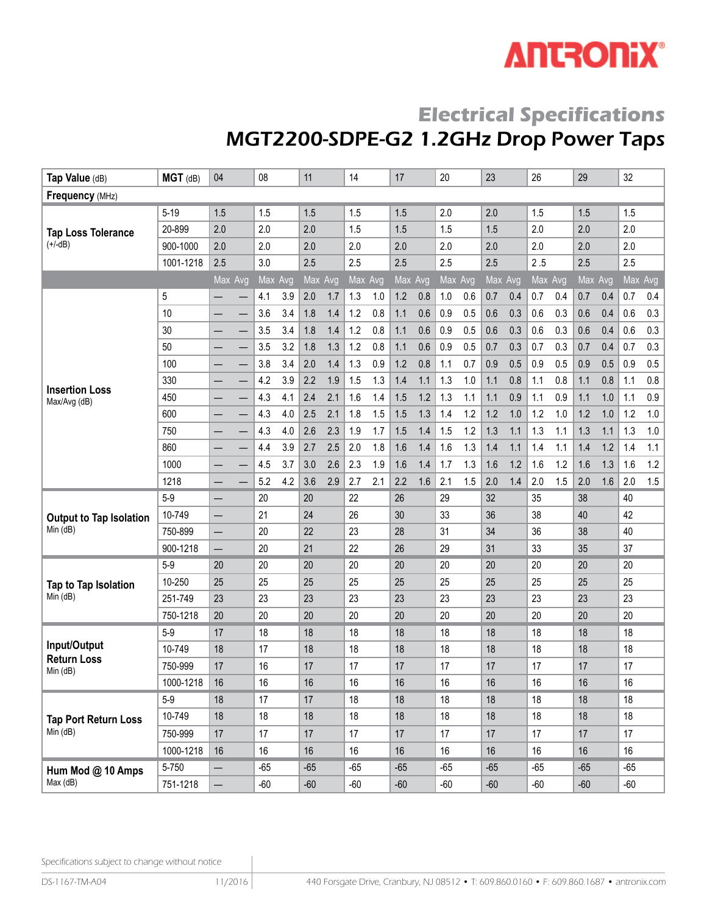# **ANTRONIX®**

# **Electrical Specifications** MGT2200-SDPE-G2 1.2GHz Drop Power Taps

| Tap Value (dB)                         | MGT (dB)     | 04                       |                          | 08      |     | 11      |     | 14      |     | 17      |     | 20      |     | 23      |     | 26      |     | 29      |     | 32    |         |
|----------------------------------------|--------------|--------------------------|--------------------------|---------|-----|---------|-----|---------|-----|---------|-----|---------|-----|---------|-----|---------|-----|---------|-----|-------|---------|
| Frequency (MHz)                        |              |                          |                          |         |     |         |     |         |     |         |     |         |     |         |     |         |     |         |     |       |         |
|                                        | $5 - 19$     | 1.5                      |                          | 1.5     |     | 1.5     |     | 1.5     |     | 1.5     |     | 2.0     |     | 2.0     |     | 1.5     |     | 1.5     |     | 1.5   |         |
| <b>Tap Loss Tolerance</b>              | 20-899       | 2.0                      |                          | 2.0     |     | 2.0     |     | 1.5     |     | 1.5     |     | 1.5     |     | 1.5     |     | 2.0     |     | 2.0     |     | 2.0   |         |
| $(+/-dB)$                              | 900-1000     | 2.0                      |                          | 2.0     |     | 2.0     |     | 2.0     |     | 2.0     |     | 2.0     |     | 2.0     |     | 2.0     |     | 2.0     |     | 2.0   |         |
|                                        | 1001-1218    | 2.5                      |                          | 3.0     |     | 2.5     |     | 2.5     |     | 2.5     |     | 2.5     |     | 2.5     |     | 2.5     |     | 2.5     |     | 2.5   |         |
|                                        |              | Max Avg                  |                          | Max Avg |     | Max Avg |     | Max Avg |     | Max Avg |     | Max Avg |     | Max Avg |     | Max Avg |     | Max Avg |     |       | Max Avg |
|                                        | 5            |                          |                          | 4.1     | 3.9 | 2.0     | 1.7 | 1.3     | 1.0 | 1.2     | 0.8 | 1.0     | 0.6 | 0.7     | 0.4 | 0.7     | 0.4 | 0.7     | 0.4 | 0.7   | 0.4     |
|                                        | 10           | —                        | —                        | 3.6     | 3.4 | 1.8     | 1.4 | 1.2     | 0.8 | 1.1     | 0.6 | 0.9     | 0.5 | 0.6     | 0.3 | 0.6     | 0.3 | 0.6     | 0.4 | 0.6   | 0.3     |
|                                        | 30           |                          |                          | 3.5     | 3.4 | 1.8     | 1.4 | 1.2     | 0.8 | 1.1     | 0.6 | 0.9     | 0.5 | 0.6     | 0.3 | 0.6     | 0.3 | 0.6     | 0.4 | 0.6   | 0.3     |
|                                        | 50           |                          |                          | 3.5     | 3.2 | 1.8     | 1.3 | 1.2     | 0.8 | 1.1     | 0.6 | 0.9     | 0.5 | 0.7     | 0.3 | 0.7     | 0.3 | 0.7     | 0.4 | 0.7   | 0.3     |
|                                        | 100          | —                        | $\overline{\phantom{0}}$ | 3.8     | 3.4 | 2.0     | 1.4 | 1.3     | 0.9 | 1.2     | 0.8 | 1.1     | 0.7 | 0.9     | 0.5 | 0.9     | 0.5 | 0.9     | 0.5 | 0.9   | 0.5     |
| <b>Insertion Loss</b>                  | 330          | —<br>—                   | $\overline{\phantom{0}}$ | 4.2     | 3.9 | 2.2     | 1.9 | 1.5     | 1.3 | 1.4     | 1.1 | 1.3     | 1.0 | 1.1     | 0.8 | 1.1     | 0.8 | 1.1     | 0.8 | 1.1   | $0.8\,$ |
| Max/Avg (dB)                           | 450          | —                        | —                        | 4.3     | 4.1 | 2.4     | 2.1 | 1.6     | 1.4 | 1.5     | 1.2 | 1.3     | 1.1 | 1.1     | 0.9 | 1.1     | 0.9 | 1.1     | 1.0 | 1.1   | 0.9     |
|                                        | 600          |                          |                          | 4.3     | 4.0 | 2.5     | 2.1 | 1.8     | 1.5 | 1.5     | 1.3 | 1.4     | 1.2 | 1.2     | 1.0 | 1.2     | 1.0 | 1.2     | 1.0 | 1.2   | 1.0     |
|                                        | 750          | —                        |                          | 4.3     | 4.0 | 2.6     | 2.3 | 1.9     | 1.7 | 1.5     | 1.4 | 1.5     | 1.2 | 1.3     | 1.1 | 1.3     | 1.1 | 1.3     | 1.1 | 1.3   | $1.0$   |
|                                        | 860          | $\overline{\phantom{0}}$ | $\overline{\phantom{0}}$ | 4.4     | 3.9 | 2.7     | 2.5 | 2.0     | 1.8 | 1.6     | 1.4 | 1.6     | 1.3 | 1.4     | 1.1 | 1.4     | 1.1 | 1.4     | 1.2 | 1.4   | 1.1     |
|                                        | 1000         |                          | $\overline{\phantom{0}}$ | 4.5     | 3.7 | 3.0     | 2.6 | 2.3     | 1.9 | 1.6     | 1.4 | 1.7     | 1.3 | 1.6     | 1.2 | 1.6     | 1.2 | 1.6     | 1.3 | 1.6   | 1.2     |
|                                        | 1218         | –                        |                          | 5.2     | 4.2 | 3.6     | 2.9 | 2.7     | 2.1 | 2.2     | 1.6 | 2.1     | 1.5 | 2.0     | 1.4 | 2.0     | 1.5 | 2.0     | 1.6 | 2.0   | 1.5     |
|                                        | $5-9$        | —                        |                          | 20      |     | 20      |     | 22      |     | 26      |     | 29      |     | 32      |     | 35      |     | 38      |     | 40    |         |
| <b>Output to Tap Isolation</b>         | 10-749       | —                        |                          | 21      |     | 24      |     | 26      |     | 30      |     | 33      |     | 36      |     | 38      |     | 40      |     | 42    |         |
| Min (dB)                               | 750-899      | —                        |                          | 20      |     | 22      |     | 23      |     | 28      |     | 31      |     | 34      |     | 36      |     | 38      |     | 40    |         |
|                                        | 900-1218     |                          |                          | 20      |     | 21      |     | 22      |     | 26      |     | 29      |     | 31      |     | 33      |     | 35      |     | 37    |         |
|                                        | $5-9$        | 20                       |                          | 20      |     | 20      |     | 20      |     | 20      |     | 20      |     | 20      |     | 20      |     | 20      |     | 20    |         |
| Tap to Tap Isolation                   | 10-250       | 25                       |                          | 25      |     | 25      |     | 25      |     | 25      |     | 25      |     | 25      |     | 25      |     | 25      |     | 25    |         |
| Min (dB)                               | 251-749      | 23                       |                          | 23      |     | 23      |     | 23      |     | 23      |     | 23      |     | 23      |     | 23      |     | 23      |     | 23    |         |
|                                        | 750-1218     | 20                       |                          | 20      |     | 20      |     | 20      |     | 20      |     | 20      |     | 20      |     | 20      |     | 20      |     | 20    |         |
|                                        | $5-9$        | 17                       |                          | 18      |     | 18      |     | 18      |     | 18      |     | 18      |     | 18      |     | 18      |     | 18      |     | 18    |         |
| Input/Output<br><b>Return Loss</b>     | 10-749       | 18                       |                          | 17      |     | 18      |     | 18      |     | 18      |     | 18      |     | 18      |     | 18      |     | 18      |     | 18    |         |
| Min (dB)                               | 750-999      | 17                       |                          | 16      |     | 17      |     | 17      |     | 17      |     | 17      |     | 17      |     | 17      |     | 17      |     | 17    |         |
|                                        | 1000-1218 16 |                          |                          | 16      |     | 16      |     | 16      |     | 16      |     | 16      |     | 16      |     | 16      |     | 16      |     | 16    |         |
|                                        | $5-9$        | 18                       |                          | 17      |     | 17      |     | 18      |     | 18      |     | 18      |     | 18      |     | 18      |     | 18      |     | 18    |         |
| <b>Tap Port Return Loss</b><br>Min(dB) | 10-749       | 18                       |                          | 18      |     | 18      |     | 18      |     | 18      |     | 18      |     | 18      |     | 18      |     | 18      |     | 18    |         |
|                                        | 750-999      | 17                       |                          | 17      |     | 17      |     | 17      |     | 17      |     | 17      |     | 17      |     | 17      |     | 17      |     | 17    |         |
|                                        | 1000-1218    | 16                       |                          | 16      |     | 16      |     | 16      |     | 16      |     | 16      |     | 16      |     | 16      |     | 16      |     | 16    |         |
| Hum Mod @ 10 Amps                      | 5-750        |                          |                          | $-65$   |     | $-65$   |     | $-65$   |     | $-65$   |     | $-65$   |     | $-65$   |     | $-65$   |     | $-65$   |     | $-65$ |         |
| Max (dB)                               | 751-1218     | $\qquad \qquad -$        |                          | $-60$   |     | $-60$   |     | $-60$   |     | $-60$   |     | $-60$   |     | $-60$   |     | $-60$   |     | $-60$   |     | $-60$ |         |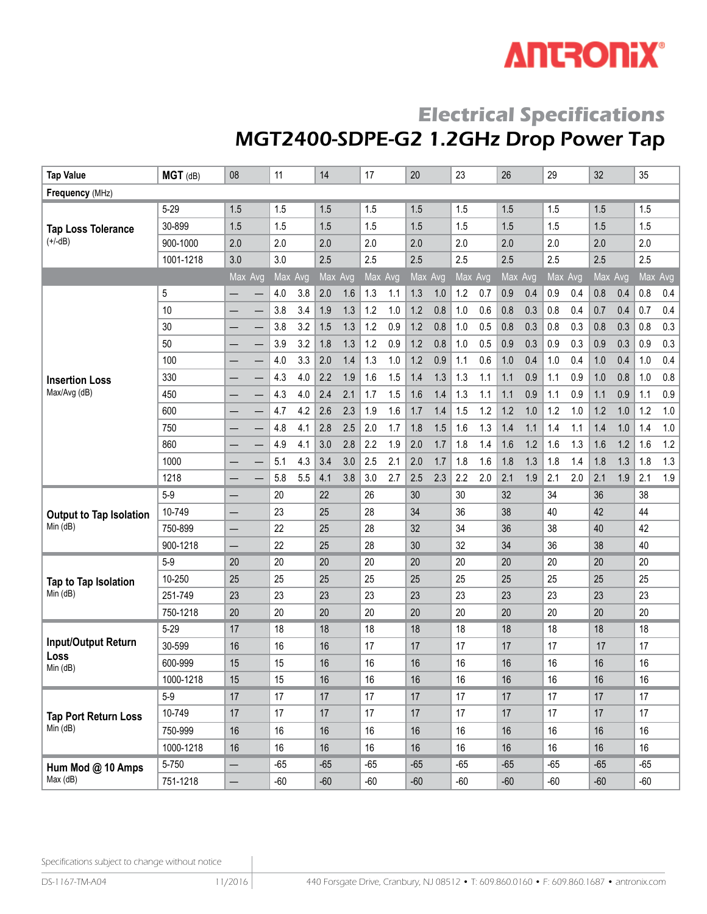# **ANTRONIX®**

### **Electrical Specifications** MGT2400-SDPE-G2 1.2GHz Drop Power Tap

| <b>Tap Value</b>               | MGT (dB)  | 08                       | 11         | 14         | 17         | 20         | 23         | 26         | 29         | 32         | 35             |
|--------------------------------|-----------|--------------------------|------------|------------|------------|------------|------------|------------|------------|------------|----------------|
| Frequency (MHz)                |           |                          |            |            |            |            |            |            |            |            |                |
|                                | $5 - 29$  | 1.5                      | 1.5        | 1.5        | 1.5        | 1.5        | 1.5        | 1.5        | 1.5        | 1.5        | 1.5            |
| <b>Tap Loss Tolerance</b>      | 30-899    | 1.5                      | 1.5        | 1.5        | 1.5        | 1.5        | 1.5        | 1.5        | 1.5        | 1.5        | 1.5            |
| $(+/-dB)$                      | 900-1000  | 2.0                      | 2.0        | 2.0        | 2.0        | 2.0        | 2.0        | 2.0        | 2.0        | 2.0        | 2.0            |
|                                | 1001-1218 | 3.0                      | 3.0        | 2.5        | 2.5        | 2.5        | 2.5        | 2.5        | 2.5        | 2.5        | 2.5            |
|                                |           | Max Avg                  | Max Avg    | Max Avg    | Max Avg    | Max Avg    | Max Avg    | Max Avg    | Max Avg    | Max Avg    | Max Avg        |
|                                | 5         |                          | 3.8<br>4.0 | 2.0<br>1.6 | 1.3<br>1.1 | 1.3<br>1.0 | 1.2<br>0.7 | 0.9<br>0.4 | 0.9<br>0.4 | 0.8<br>0.4 | 0.8<br>0.4     |
|                                | 10        |                          | 3.4<br>3.8 | 1.9<br>1.3 | 1.2<br>1.0 | 1.2<br>0.8 | 1.0<br>0.6 | 0.8<br>0.3 | 0.8<br>0.4 | 0.7<br>0.4 | 0.4<br>0.7     |
|                                | 30        |                          | 3.2<br>3.8 | 1.3<br>1.5 | 1.2<br>0.9 | 1.2<br>0.8 | 0.5<br>1.0 | 0.8<br>0.3 | 0.8<br>0.3 | 0.3<br>0.8 | 0.8<br>0.3     |
|                                | 50        |                          | 3.2<br>3.9 | 1.8<br>1.3 | 1.2<br>0.9 | 1.2<br>0.8 | 1.0<br>0.5 | 0.9<br>0.3 | 0.9<br>0.3 | 0.9<br>0.3 | 0.3<br>0.9     |
|                                | 100       | —                        | 3.3<br>4.0 | 2.0<br>1.4 | 1.3<br>1.0 | 1.2<br>0.9 | 1.1<br>0.6 | 0.4<br>1.0 | 1.0<br>0.4 | 1.0<br>0.4 | 0.4<br>1.0     |
| <b>Insertion Loss</b>          | 330       |                          | 4.3<br>4.0 | 2.2<br>1.9 | 1.5<br>1.6 | 1.4<br>1.3 | 1.3<br>1.1 | 1.1<br>0.9 | 0.9<br>1.1 | 1.0<br>0.8 | 0.8<br>1.0     |
| Max/Avg (dB)                   | 450       |                          | 4.0<br>4.3 | 2.4<br>2.1 | 1.7<br>1.5 | 1.6<br>1.4 | 1.3<br>1.1 | 1.1<br>0.9 | 1.1<br>0.9 | 0.9<br>1.1 | $0.9\,$<br>1.1 |
|                                | 600       |                          | 4.2<br>4.7 | 2.3<br>2.6 | 1.9<br>1.6 | 1.7<br>1.4 | 1.2<br>1.5 | 1.2<br>1.0 | 1.2<br>1.0 | 1.0<br>1.2 | 1.2<br>1.0     |
|                                | 750       |                          | 4.1<br>4.8 | 2.8<br>2.5 | 2.0<br>1.7 | 1.8<br>1.5 | 1.6<br>1.3 | 1.4<br>1.1 | 1.4<br>1.1 | 1.4<br>1.0 | $1.0$<br>1.4   |
|                                | 860       |                          | 4.9<br>4.1 | 2.8<br>3.0 | 2.2<br>1.9 | 2.0<br>1.7 | 1.8<br>1.4 | 1.6<br>1.2 | 1.6<br>1.3 | 1.6<br>1.2 | 1.6<br>1.2     |
|                                | 1000      |                          | 4.3<br>5.1 | 3.4<br>3.0 | 2.5<br>2.1 | 2.0<br>1.7 | 1.8<br>1.6 | 1.8<br>1.3 | 1.8<br>1.4 | 1.3<br>1.8 | 1.3<br>1.8     |
|                                | 1218      | —                        | 5.5<br>5.8 | 3.8<br>4.1 | 3.0<br>2.7 | 2.5<br>2.3 | 2.2<br>2.0 | 2.1<br>1.9 | 2.1<br>2.0 | 2.1<br>1.9 | 2.1<br>1.9     |
|                                | $5-9$     |                          | 20         | 22         | 26         | 30         | 30         | 32         | 34         | 36         | 38             |
| <b>Output to Tap Isolation</b> | 10-749    | —                        | 23         | 25         | 28         | 34         | 36         | 38         | 40         | 42         | 44             |
| Min (dB)                       | 750-899   | —                        | 22         | 25         | 28         | 32         | 34         | 36         | 38         | 40         | 42             |
|                                | 900-1218  | —                        | 22         | 25         | 28         | 30         | 32         | 34         | 36         | 38         | 40             |
|                                | $5-9$     | 20                       | 20         | 20         | 20         | 20         | 20         | 20         | 20         | 20         | 20             |
| Tap to Tap Isolation           | 10-250    | 25                       | 25         | 25         | 25         | 25         | 25         | 25         | 25         | 25         | 25             |
| Min (dB)                       | 251-749   | 23                       | 23         | 23         | 23         | 23         | 23         | 23         | 23         | 23         | 23             |
|                                | 750-1218  | 20                       | 20         | 20         | 20         | 20         | 20         | 20         | 20         | 20         | 20             |
|                                | $5 - 29$  | 17                       | 18         | 18         | 18         | 18         | 18         | 18         | 18         | 18         | 18             |
| Input/Output Return            | 30-599    | 16                       | 16         | 16         | 17         | 17         | 17         | 17         | 17         | 17         | 17             |
| Loss<br>Min (dB)               | 600-999   | 15                       | 15         | 16         | 16         | 16         | 16         | 16         | 16         | 16         | 16             |
|                                | 1000-1218 | 15                       | 15         | 16         | 16         | 16         | 16         | 16         | 16         | 16         | 16             |
|                                | $5-9$     | 17                       | 17         | 17         | 17         | 17         | 17         | 17         | 17         | 17         | 17             |
| <b>Tap Port Return Loss</b>    | 10-749    | 17                       | 17         | 17         | 17         | 17         | 17         | 17         | 17         | 17         | 17             |
| Min (dB)                       | 750-999   | 16                       | 16         | 16         | 16         | 16         | 16         | 16         | 16         | 16         | 16             |
|                                | 1000-1218 | 16                       | 16         | 16         | 16         | 16         | 16         | 16         | 16         | 16         | 16             |
| Hum Mod @ 10 Amps              | 5-750     |                          | $-65$      | $-65$      | $-65$      | $-65$      | -65        | $-65$      | $-65$      | $-65$      | $-65$          |
| Max (dB)                       | 751-1218  | $\overline{\phantom{0}}$ | $-60$      | $-60$      | $-60$      | $-60$      | $-60$      | $-60$      | $-60$      | $-60$      | $-60$          |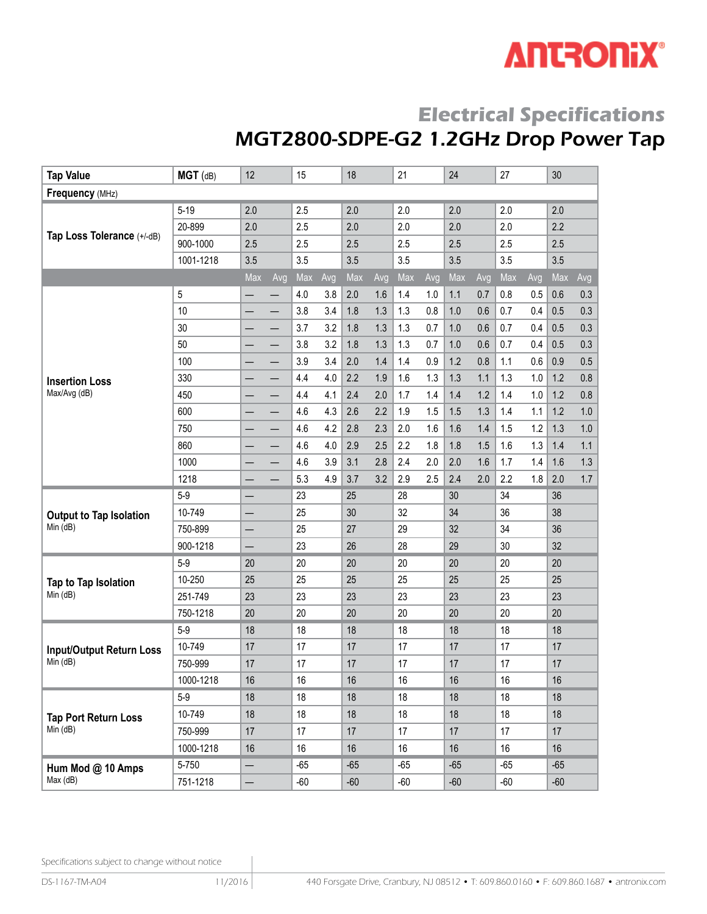# **ANTRONIX®**

# **Electrical Specifications**

# MGT2800-SDPE-G2 1.2GHz Drop Power Tap

| <b>Tap Value</b>                | $MGT$ (dB)     | 12  |     | 15    |     | 18    |     | 21    |     | 24    |     | 27    |     | 30    |     |
|---------------------------------|----------------|-----|-----|-------|-----|-------|-----|-------|-----|-------|-----|-------|-----|-------|-----|
| Frequency (MHz)                 |                |     |     |       |     |       |     |       |     |       |     |       |     |       |     |
|                                 | $5 - 19$       | 2.0 |     | 2.5   |     | 2.0   |     | 2.0   |     | 2.0   |     | 2.0   |     | 2.0   |     |
|                                 | 20-899         | 2.0 |     | 2.5   |     | 2.0   |     | 2.0   |     | 2.0   |     | 2.0   |     | 2.2   |     |
| Tap Loss Tolerance (+/-dB)      | 900-1000       | 2.5 |     | 2.5   |     | 2.5   |     | 2.5   |     | 2.5   |     | 2.5   |     | 2.5   |     |
|                                 | 1001-1218      | 3.5 |     | 3.5   |     | 3.5   |     | 3.5   |     | 3.5   |     | 3.5   |     | 3.5   |     |
|                                 |                | Max | Avg | Max   | Avg | Max   | Avg | Max   | Avg | Max   | Avg | Max   | Avg | Max   | Avg |
|                                 | $\overline{5}$ |     |     | 4.0   | 3.8 | 2.0   | 1.6 | 1.4   | 1.0 | 1.1   | 0.7 | 0.8   | 0.5 | 0.6   | 0.3 |
|                                 | 10             |     |     | 3.8   | 3.4 | 1.8   | 1.3 | 1.3   | 0.8 | 1.0   | 0.6 | 0.7   | 0.4 | 0.5   | 0.3 |
|                                 | 30             |     |     | 3.7   | 3.2 | 1.8   | 1.3 | 1.3   | 0.7 | 1.0   | 0.6 | 0.7   | 0.4 | 0.5   | 0.3 |
|                                 | 50             |     |     | 3.8   | 3.2 | 1.8   | 1.3 | 1.3   | 0.7 | 1.0   | 0.6 | 0.7   | 0.4 | 0.5   | 0.3 |
|                                 | 100            |     |     | 3.9   | 3.4 | 2.0   | 1.4 | 1.4   | 0.9 | 1.2   | 0.8 | 1.1   | 0.6 | 0.9   | 0.5 |
| <b>Insertion Loss</b>           | 330            |     |     | 4.4   | 4.0 | 2.2   | 1.9 | 1.6   | 1.3 | 1.3   | 1.1 | 1.3   | 1.0 | 1.2   | 0.8 |
| Max/Avg (dB)                    | 450            |     |     | 4.4   | 4.1 | 2.4   | 2.0 | 1.7   | 1.4 | 1.4   | 1.2 | 1.4   | 1.0 | 1.2   | 0.8 |
|                                 | 600            |     |     | 4.6   | 4.3 | 2.6   | 2.2 | 1.9   | 1.5 | 1.5   | 1.3 | 1.4   | 1.1 | 1.2   | 1.0 |
|                                 | 750            |     |     | 4.6   | 4.2 | 2.8   | 2.3 | 2.0   | 1.6 | 1.6   | 1.4 | 1.5   | 1.2 | 1.3   | 1.0 |
|                                 | 860            |     |     | 4.6   | 4.0 | 2.9   | 2.5 | 2.2   | 1.8 | 1.8   | 1.5 | 1.6   | 1.3 | 1.4   | 1.1 |
|                                 | 1000           |     |     | 4.6   | 3.9 | 3.1   | 2.8 | 2.4   | 2.0 | 2.0   | 1.6 | 1.7   | 1.4 | 1.6   | 1.3 |
|                                 | 1218           |     |     | 5.3   | 4.9 | 3.7   | 3.2 | 2.9   | 2.5 | 2.4   | 2.0 | 2.2   | 1.8 | 2.0   | 1.7 |
|                                 | $5-9$          |     |     | 23    |     | 25    |     | 28    |     | 30    |     | 34    |     | 36    |     |
| <b>Output to Tap Isolation</b>  | 10-749         |     |     | 25    |     | 30    |     | 32    |     | 34    |     | 36    |     | 38    |     |
| Min (dB)                        | 750-899        | —   |     | 25    |     | 27    |     | 29    |     | 32    |     | 34    |     | 36    |     |
|                                 | 900-1218       |     |     | 23    |     | 26    |     | 28    |     | 29    |     | 30    |     | 32    |     |
|                                 | $5-9$          | 20  |     | 20    |     | 20    |     | 20    |     | 20    |     | 20    |     | 20    |     |
| Tap to Tap Isolation            | 10-250         | 25  |     | 25    |     | 25    |     | 25    |     | 25    |     | 25    |     | 25    |     |
| Min (dB)                        | 251-749        | 23  |     | 23    |     | 23    |     | 23    |     | 23    |     | 23    |     | 23    |     |
|                                 | 750-1218       | 20  |     | 20    |     | 20    |     | 20    |     | 20    |     | 20    |     | 20    |     |
|                                 | $5-9$          | 18  |     | 18    |     | 18    |     | 18    |     | 18    |     | 18    |     | 18    |     |
| <b>Input/Output Return Loss</b> | 10-749         | 17  |     | 17    |     | 17    |     | 17    |     | 17    |     | 17    |     | 17    |     |
| Min (dB)                        | 750-999        | 17  |     | 17    |     | 17    |     | 17    |     | 17    |     | 17    |     | 17    |     |
|                                 | 1000-1218      | 16  |     | 16    |     | 16    |     | 16    |     | 16    |     | 16    |     | 16    |     |
|                                 | $5-9$          | 18  |     | 18    |     | 18    |     | 18    |     | 18    |     | 18    |     | 18    |     |
| <b>Tap Port Return Loss</b>     | 10-749         | 18  |     | 18    |     | 18    |     | 18    |     | 18    |     | 18    |     | 18    |     |
| Min (dB)                        | 750-999        | 17  |     | 17    |     | 17    |     | 17    |     | 17    |     | 17    |     | 17    |     |
|                                 | 1000-1218      | 16  |     | 16    |     | 16    |     | 16    |     | 16    |     | 16    |     | 16    |     |
| Hum Mod @ 10 Amps               | 5-750          |     |     | $-65$ |     | $-65$ |     | $-65$ |     | $-65$ |     | $-65$ |     | $-65$ |     |
| Max (dB)                        | 751-1218       | —   |     | $-60$ |     | $-60$ |     | $-60$ |     | $-60$ |     | $-60$ |     | $-60$ |     |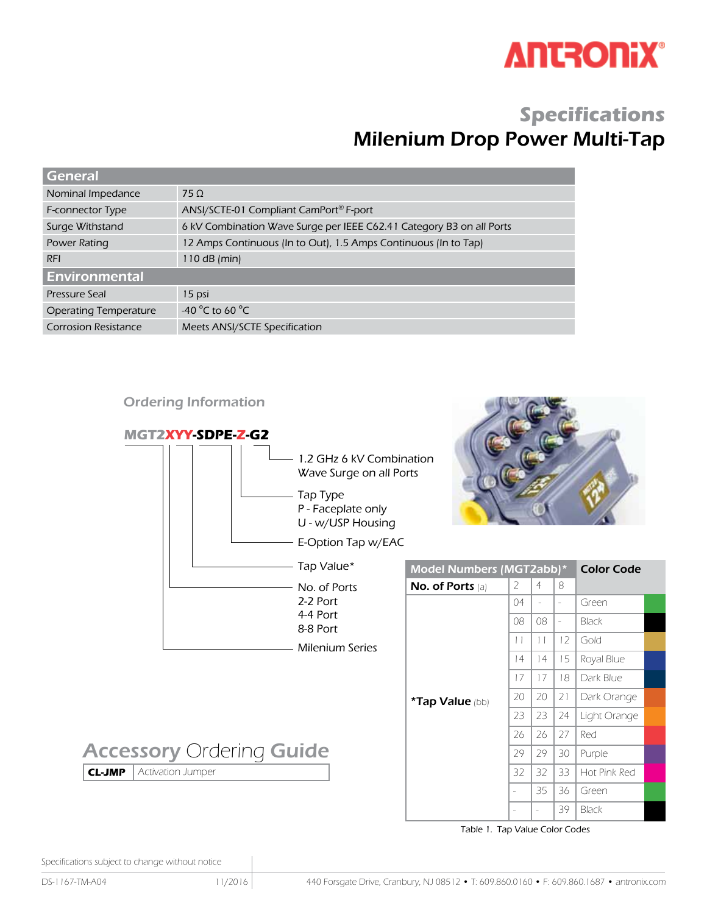

### **Specifications** Milenium Drop Power Multi-Tap

| <b>General</b>               |                                                                      |
|------------------------------|----------------------------------------------------------------------|
| Nominal Impedance            | 75 <sub>0</sub>                                                      |
| F-connector Type             | ANSI/SCTE-01 Compliant CamPort® F-port                               |
| Surge Withstand              | 6 kV Combination Wave Surge per IEEE C62.41 Category B3 on all Ports |
| Power Rating                 | 12 Amps Continuous (In to Out), 1.5 Amps Continuous (In to Tap)      |
| <b>RFI</b>                   | 110 dB $(min)$                                                       |
| <b>Environmental</b>         |                                                                      |
| Pressure Seal                | 15 psi                                                               |
| <b>Operating Temperature</b> | -40 $^{\circ}$ C to 60 $^{\circ}$ C                                  |
| <b>Corrosion Resistance</b>  | Meets ANSI/SCTE Specification                                        |

#### Ordering Information



Table 1. Tap Value Color Codes